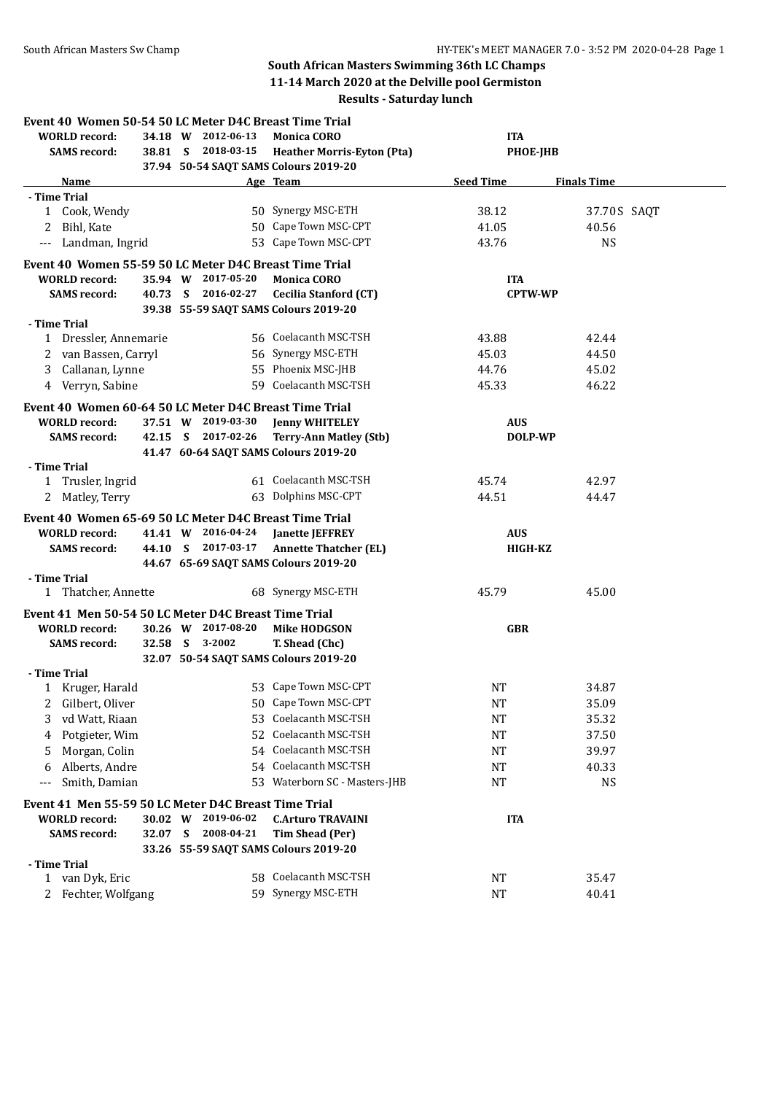## **South African Masters Swimming 36th LC Champs 11-14 March 2020 at the Delville pool Germiston Results - Saturday lunch**

|                                                      |                       |                |                    | Event 40 Women 50-54 50 LC Meter D4C Breast Time Trial |                  |                    |  |
|------------------------------------------------------|-----------------------|----------------|--------------------|--------------------------------------------------------|------------------|--------------------|--|
| <b>WORLD</b> record:                                 |                       |                | 34.18 W 2012-06-13 | <b>Monica CORO</b>                                     | <b>ITA</b>       |                    |  |
| <b>SAMS</b> record:                                  |                       |                | 38.81 S 2018-03-15 | <b>Heather Morris-Eyton (Pta)</b>                      | <b>PHOE-JHB</b>  |                    |  |
|                                                      |                       |                |                    | 37.94 50-54 SAQT SAMS Colours 2019-20                  |                  |                    |  |
| Name                                                 |                       |                |                    | Age Team                                               | <b>Seed Time</b> | <b>Finals Time</b> |  |
| - Time Trial                                         |                       |                |                    |                                                        |                  |                    |  |
| 1 Cook, Wendy                                        |                       |                |                    | 50 Synergy MSC-ETH                                     | 38.12            | 37.70 S SAQT       |  |
| 2 Bihl, Kate                                         |                       |                |                    | 50 Cape Town MSC-CPT                                   | 41.05            | 40.56              |  |
| $---$                                                | Landman, Ingrid       |                |                    | 53 Cape Town MSC-CPT                                   | 43.76            | <b>NS</b>          |  |
|                                                      |                       |                |                    | Event 40 Women 55-59 50 LC Meter D4C Breast Time Trial |                  |                    |  |
| <b>WORLD</b> record:                                 |                       |                | 35.94 W 2017-05-20 | <b>Monica CORO</b>                                     | <b>ITA</b>       |                    |  |
| <b>SAMS</b> record:                                  |                       |                | 40.73 S 2016-02-27 | <b>Cecilia Stanford (CT)</b>                           | <b>CPTW-WP</b>   |                    |  |
|                                                      |                       |                |                    | 39.38 55-59 SAQT SAMS Colours 2019-20                  |                  |                    |  |
| - Time Trial                                         |                       |                |                    |                                                        |                  |                    |  |
|                                                      | 1 Dressler, Annemarie |                |                    | 56 Coelacanth MSC-TSH                                  | 43.88            | 42.44              |  |
|                                                      | van Bassen, Carryl    |                |                    | 56 Synergy MSC-ETH                                     | 45.03            | 44.50              |  |
| 3                                                    | Callanan, Lynne       |                |                    | 55 Phoenix MSC-JHB                                     | 44.76            | 45.02              |  |
| 4 Verryn, Sabine                                     |                       |                |                    | 59 Coelacanth MSC-TSH                                  | 45.33            | 46.22              |  |
|                                                      |                       |                |                    | Event 40 Women 60-64 50 LC Meter D4C Breast Time Trial |                  |                    |  |
| <b>WORLD</b> record:                                 |                       |                | 37.51 W 2019-03-30 | <b>Jenny WHITELEY</b>                                  | <b>AUS</b>       |                    |  |
| <b>SAMS</b> record:                                  |                       |                | 42.15 S 2017-02-26 | <b>Terry-Ann Matley (Stb)</b>                          | DOLP-WP          |                    |  |
|                                                      |                       |                |                    | 41.47 60-64 SAQT SAMS Colours 2019-20                  |                  |                    |  |
| - Time Trial                                         |                       |                |                    |                                                        |                  |                    |  |
| 1 Trusler, Ingrid                                    |                       |                |                    | 61 Coelacanth MSC-TSH                                  | 45.74            | 42.97              |  |
| 2 Matley, Terry                                      |                       |                |                    | 63 Dolphins MSC-CPT                                    | 44.51            | 44.47              |  |
|                                                      |                       |                |                    |                                                        |                  |                    |  |
|                                                      |                       |                |                    | Event 40 Women 65-69 50 LC Meter D4C Breast Time Trial |                  |                    |  |
| <b>WORLD</b> record:                                 |                       |                | 41.41 W 2016-04-24 | <b>Janette JEFFREY</b>                                 | <b>AUS</b>       |                    |  |
| <b>SAMS</b> record:                                  |                       |                | 44.10 S 2017-03-17 | <b>Annette Thatcher (EL)</b>                           | <b>HIGH-KZ</b>   |                    |  |
| - Time Trial                                         |                       |                |                    | 44.67 65-69 SAQT SAMS Colours 2019-20                  |                  |                    |  |
|                                                      | 1 Thatcher, Annette   |                |                    | 68 Synergy MSC-ETH                                     | 45.79            | 45.00              |  |
|                                                      |                       |                |                    |                                                        |                  |                    |  |
| Event 41 Men 50-54 50 LC Meter D4C Breast Time Trial |                       |                |                    |                                                        |                  |                    |  |
| <b>WORLD</b> record:                                 |                       |                | 30.26 W 2017-08-20 | <b>Mike HODGSON</b>                                    | <b>GBR</b>       |                    |  |
| <b>SAMS</b> record:                                  |                       | 32.58 S 3-2002 |                    | T. Shead (Chc)                                         |                  |                    |  |
|                                                      |                       |                |                    | 32.07 50-54 SAQT SAMS Colours 2019-20                  |                  |                    |  |
| - Time Trial<br>1 Kruger, Harald                     |                       |                |                    | 53 Cape Town MSC-CPT                                   | NT               | 34.87              |  |
| Gilbert, Oliver<br>2                                 |                       |                |                    | 50 Cape Town MSC-CPT                                   | $\rm{NT}$        | 35.09              |  |
| 3                                                    | vd Watt, Riaan        |                |                    | 53 Coelacanth MSC-TSH                                  | <b>NT</b>        | 35.32              |  |
|                                                      |                       |                | 52                 | Coelacanth MSC-TSH                                     |                  |                    |  |
| 4                                                    | Potgieter, Wim        |                |                    | 54 Coelacanth MSC-TSH                                  | <b>NT</b>        | 37.50              |  |
| 5                                                    | Morgan, Colin         |                |                    |                                                        | <b>NT</b>        | 39.97              |  |
| 6                                                    | Alberts, Andre        |                |                    | 54 Coelacanth MSC-TSH                                  | NT               | 40.33              |  |
| $---$                                                | Smith, Damian         |                |                    | 53 Waterborn SC - Masters-JHB                          | NT               | <b>NS</b>          |  |
| Event 41 Men 55-59 50 LC Meter D4C Breast Time Trial |                       |                |                    |                                                        |                  |                    |  |
| <b>WORLD</b> record:                                 |                       |                | 30.02 W 2019-06-02 | <b>C.Arturo TRAVAINI</b>                               | <b>ITA</b>       |                    |  |
| <b>SAMS</b> record:                                  |                       |                | 32.07 S 2008-04-21 | Tim Shead (Per)                                        |                  |                    |  |
|                                                      |                       |                |                    | 33.26 55-59 SAQT SAMS Colours 2019-20                  |                  |                    |  |
| - Time Trial                                         |                       |                |                    |                                                        |                  |                    |  |
| 1 van Dyk, Eric                                      |                       |                |                    | 58 Coelacanth MSC-TSH                                  | NT               | 35.47              |  |
| 2                                                    | Fechter, Wolfgang     |                |                    | 59 Synergy MSC-ETH                                     | NT               | 40.41              |  |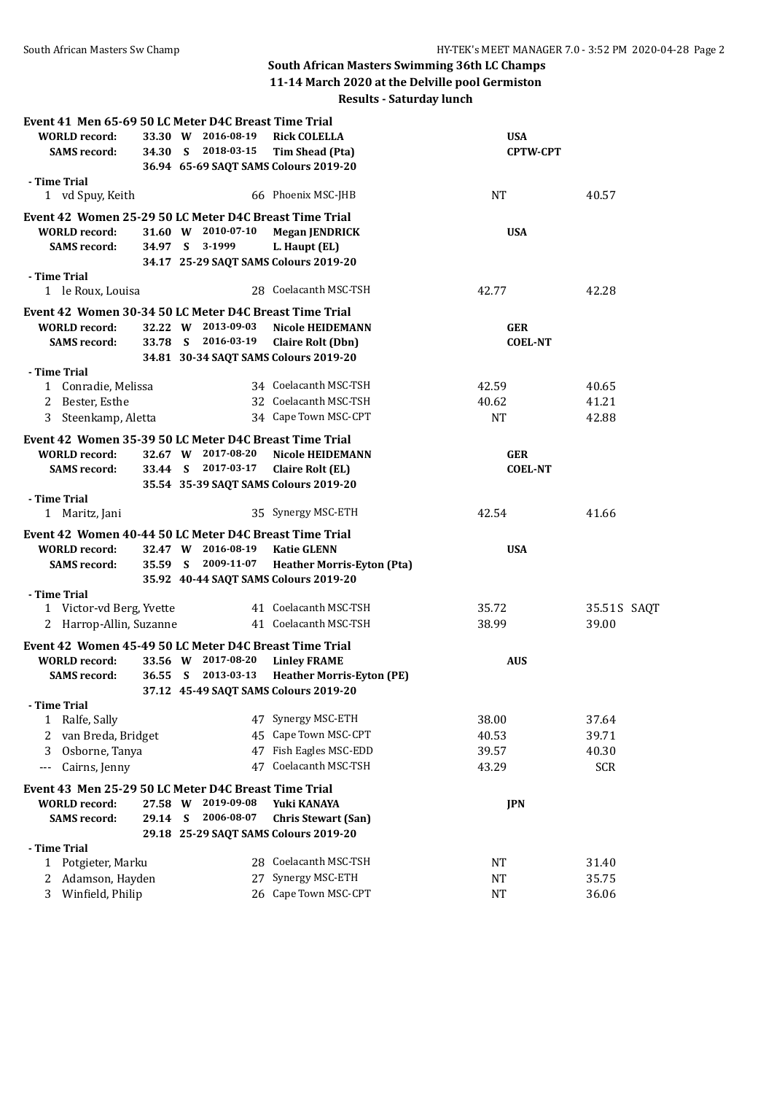## **South African Masters Swimming 36th LC Champs 11-14 March 2020 at the Delville pool Germiston**

**Results - Saturday lunch**

| Event 41 Men 65-69 50 LC Meter D4C Breast Time Trial   |                                           |  |                    |                                       |                 |             |  |
|--------------------------------------------------------|-------------------------------------------|--|--------------------|---------------------------------------|-----------------|-------------|--|
| <b>WORLD</b> record:                                   | 33.30 W 2016-08-19<br><b>Rick COLELLA</b> |  |                    |                                       | <b>USA</b>      |             |  |
| <b>SAMS</b> record:                                    |                                           |  | 34.30 S 2018-03-15 | Tim Shead (Pta)                       | <b>CPTW-CPT</b> |             |  |
|                                                        |                                           |  |                    | 36.94 65-69 SAQT SAMS Colours 2019-20 |                 |             |  |
| - Time Trial<br>1 vd Spuy, Keith                       |                                           |  |                    | 66 Phoenix MSC-JHB                    | NT              | 40.57       |  |
| Event 42 Women 25-29 50 LC Meter D4C Breast Time Trial |                                           |  |                    |                                       |                 |             |  |
| <b>WORLD</b> record:                                   |                                           |  | 31.60 W 2010-07-10 | <b>Megan JENDRICK</b>                 | <b>USA</b>      |             |  |
| <b>SAMS</b> record:                                    |                                           |  | 34.97 S 3-1999     | L. Haupt (EL)                         |                 |             |  |
|                                                        |                                           |  |                    | 34.17 25-29 SAQT SAMS Colours 2019-20 |                 |             |  |
| - Time Trial<br>1 le Roux, Louisa                      |                                           |  |                    | 28 Coelacanth MSC-TSH                 | 42.77           | 42.28       |  |
| Event 42 Women 30-34 50 LC Meter D4C Breast Time Trial |                                           |  |                    |                                       |                 |             |  |
| <b>WORLD</b> record:                                   |                                           |  | 32.22 W 2013-09-03 | <b>Nicole HEIDEMANN</b>               | <b>GER</b>      |             |  |
| <b>SAMS</b> record:                                    |                                           |  | 33.78 S 2016-03-19 | <b>Claire Rolt (Dbn)</b>              | <b>COEL-NT</b>  |             |  |
|                                                        |                                           |  |                    | 34.81 30-34 SAQT SAMS Colours 2019-20 |                 |             |  |
| - Time Trial                                           |                                           |  |                    |                                       |                 |             |  |
| 1 Conradie, Melissa                                    |                                           |  |                    | 34 Coelacanth MSC-TSH                 | 42.59           | 40.65       |  |
| Bester, Esthe<br>2                                     |                                           |  |                    | 32 Coelacanth MSC-TSH                 | 40.62           | 41.21       |  |
| Steenkamp, Aletta<br>3                                 |                                           |  |                    | 34 Cape Town MSC-CPT                  | <b>NT</b>       | 42.88       |  |
| Event 42 Women 35-39 50 LC Meter D4C Breast Time Trial |                                           |  |                    |                                       |                 |             |  |
| <b>WORLD</b> record:                                   |                                           |  | 32.67 W 2017-08-20 | <b>Nicole HEIDEMANN</b>               | <b>GER</b>      |             |  |
| <b>SAMS</b> record:                                    |                                           |  | 33.44 S 2017-03-17 | <b>Claire Rolt (EL)</b>               | <b>COEL-NT</b>  |             |  |
|                                                        |                                           |  |                    | 35.54 35-39 SAQT SAMS Colours 2019-20 |                 |             |  |
| - Time Trial                                           |                                           |  |                    |                                       |                 |             |  |
| 1 Maritz, Jani                                         |                                           |  |                    | 35 Synergy MSC-ETH                    | 42.54           | 41.66       |  |
| Event 42 Women 40-44 50 LC Meter D4C Breast Time Trial |                                           |  |                    |                                       |                 |             |  |
| <b>WORLD</b> record:                                   |                                           |  | 32.47 W 2016-08-19 | <b>Katie GLENN</b>                    | <b>USA</b>      |             |  |
| <b>SAMS</b> record:                                    |                                           |  | 35.59 S 2009-11-07 | <b>Heather Morris-Eyton (Pta)</b>     |                 |             |  |
|                                                        |                                           |  |                    | 35.92 40-44 SAQT SAMS Colours 2019-20 |                 |             |  |
| - Time Trial                                           |                                           |  |                    |                                       |                 |             |  |
| 1 Victor-vd Berg, Yvette                               |                                           |  |                    | 41 Coelacanth MSC-TSH                 | 35.72           | 35.51S SAQT |  |
| 2 Harrop-Allin, Suzanne                                |                                           |  |                    | 41 Coelacanth MSC-TSH                 | 38.99           | 39.00       |  |
| Event 42 Women 45-49 50 LC Meter D4C Breast Time Trial |                                           |  |                    |                                       |                 |             |  |
| <b>WORLD</b> record:                                   |                                           |  | 33.56 W 2017-08-20 | <b>Linley FRAME</b>                   | <b>AUS</b>      |             |  |
| <b>SAMS</b> record:                                    |                                           |  | 36.55 S 2013-03-13 | <b>Heather Morris-Eyton (PE)</b>      |                 |             |  |
|                                                        |                                           |  |                    | 37.12 45-49 SAQT SAMS Colours 2019-20 |                 |             |  |
| - Time Trial                                           |                                           |  |                    |                                       |                 |             |  |
| Ralfe, Sally<br>1                                      |                                           |  |                    | 47 Synergy MSC-ETH                    | 38.00           | 37.64       |  |
| van Breda, Bridget<br>2                                |                                           |  |                    | 45 Cape Town MSC-CPT                  | 40.53           | 39.71       |  |
| Osborne, Tanya<br>3                                    |                                           |  |                    | 47 Fish Eagles MSC-EDD                | 39.57           | 40.30       |  |
| Cairns, Jenny<br>$---$                                 |                                           |  |                    | 47 Coelacanth MSC-TSH                 | 43.29           | <b>SCR</b>  |  |
| Event 43 Men 25-29 50 LC Meter D4C Breast Time Trial   |                                           |  |                    |                                       |                 |             |  |
| <b>WORLD</b> record:                                   |                                           |  | 27.58 W 2019-09-08 | Yuki KANAYA                           | <b>JPN</b>      |             |  |
| <b>SAMS</b> record:                                    | 29.14 S                                   |  | 2006-08-07         | <b>Chris Stewart (San)</b>            |                 |             |  |
|                                                        |                                           |  |                    | 29.18 25-29 SAQT SAMS Colours 2019-20 |                 |             |  |
| - Time Trial                                           |                                           |  |                    |                                       |                 |             |  |
| Potgieter, Marku<br>1                                  |                                           |  |                    | 28 Coelacanth MSC-TSH                 | NT              | 31.40       |  |
| Adamson, Hayden<br>2                                   |                                           |  |                    | 27 Synergy MSC-ETH                    | NT              | 35.75       |  |
| Winfield, Philip<br>3                                  |                                           |  |                    | 26 Cape Town MSC-CPT                  | <b>NT</b>       | 36.06       |  |